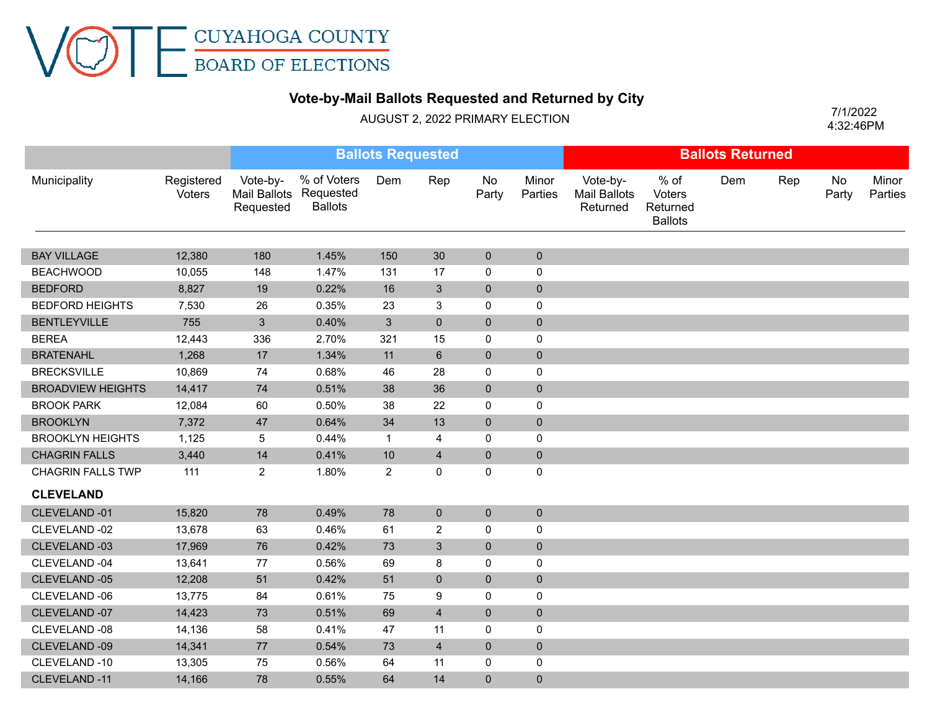## **Vote-by-Mail Ballots Requested and Returned by City**

AUGUST 2, 2022 PRIMARY ELECTION

 4:32:46PM 7/1/2022

|                          |                      | <b>Ballots Requested</b> |                                                         |                |                  |                |                  | <b>Ballots Returned</b>              |                                              |     |     |             |                  |
|--------------------------|----------------------|--------------------------|---------------------------------------------------------|----------------|------------------|----------------|------------------|--------------------------------------|----------------------------------------------|-----|-----|-------------|------------------|
| Municipality             | Registered<br>Voters | Vote-by-<br>Requested    | % of Voters<br>Mail Ballots Requested<br><b>Ballots</b> | Dem            | Rep              | No<br>Party    | Minor<br>Parties | Vote-by-<br>Mail Ballots<br>Returned | % of<br>Voters<br>Returned<br><b>Ballots</b> | Dem | Rep | No<br>Party | Minor<br>Parties |
| <b>BAY VILLAGE</b>       | 12,380               | 180                      | 1.45%                                                   | 150            | 30               | $\overline{0}$ | $\overline{0}$   |                                      |                                              |     |     |             |                  |
| <b>BEACHWOOD</b>         | 10,055               | 148                      | 1.47%                                                   | 131            | 17               | 0              | 0                |                                      |                                              |     |     |             |                  |
| <b>BEDFORD</b>           | 8,827                | 19                       | 0.22%                                                   | 16             | 3                | $\mathbf 0$    | $\pmb{0}$        |                                      |                                              |     |     |             |                  |
| <b>BEDFORD HEIGHTS</b>   | 7,530                | 26                       | 0.35%                                                   | 23             | 3                | 0              | 0                |                                      |                                              |     |     |             |                  |
| <b>BENTLEYVILLE</b>      | 755                  | $\mathbf{3}$             | 0.40%                                                   | $\mathbf{3}$   | $\overline{0}$   | $\overline{0}$ | $\mathbf 0$      |                                      |                                              |     |     |             |                  |
| <b>BEREA</b>             | 12,443               | 336                      | 2.70%                                                   | 321            | 15               | 0              | $\mathsf 0$      |                                      |                                              |     |     |             |                  |
| <b>BRATENAHL</b>         | 1,268                | 17                       | 1.34%                                                   | 11             | $6\phantom{a}$   | $\overline{0}$ | $\pmb{0}$        |                                      |                                              |     |     |             |                  |
| <b>BRECKSVILLE</b>       | 10,869               | 74                       | 0.68%                                                   | 46             | 28               | 0              | $\pmb{0}$        |                                      |                                              |     |     |             |                  |
| <b>BROADVIEW HEIGHTS</b> | 14,417               | 74                       | 0.51%                                                   | 38             | 36               | $\overline{0}$ | $\pmb{0}$        |                                      |                                              |     |     |             |                  |
| <b>BROOK PARK</b>        | 12,084               | 60                       | 0.50%                                                   | 38             | 22               | 0              | $\pmb{0}$        |                                      |                                              |     |     |             |                  |
| <b>BROOKLYN</b>          | 7,372                | 47                       | 0.64%                                                   | 34             | 13               | $\overline{0}$ | $\pmb{0}$        |                                      |                                              |     |     |             |                  |
| <b>BROOKLYN HEIGHTS</b>  | 1,125                | 5                        | 0.44%                                                   | $\mathbf{1}$   | 4                | 0              | $\pmb{0}$        |                                      |                                              |     |     |             |                  |
| <b>CHAGRIN FALLS</b>     | 3,440                | 14                       | 0.41%                                                   | 10             | $\overline{4}$   | $\mathbf 0$    | $\pmb{0}$        |                                      |                                              |     |     |             |                  |
| <b>CHAGRIN FALLS TWP</b> | 111                  | $\overline{2}$           | 1.80%                                                   | $\overline{c}$ | 0                | 0              | 0                |                                      |                                              |     |     |             |                  |
| <b>CLEVELAND</b>         |                      |                          |                                                         |                |                  |                |                  |                                      |                                              |     |     |             |                  |
| CLEVELAND-01             | 15,820               | 78                       | 0.49%                                                   | 78             | $\overline{0}$   | $\overline{0}$ | $\mathbf 0$      |                                      |                                              |     |     |             |                  |
| CLEVELAND -02            | 13,678               | 63                       | 0.46%                                                   | 61             | $\overline{2}$   | 0              | 0                |                                      |                                              |     |     |             |                  |
| CLEVELAND -03            | 17,969               | 76                       | 0.42%                                                   | 73             | $\overline{3}$   | $\overline{0}$ | $\pmb{0}$        |                                      |                                              |     |     |             |                  |
| CLEVELAND -04            | 13,641               | 77                       | 0.56%                                                   | 69             | 8                | 0              | $\pmb{0}$        |                                      |                                              |     |     |             |                  |
| CLEVELAND -05            | 12,208               | 51                       | 0.42%                                                   | 51             | $\mathbf 0$      | $\mathbf 0$    | $\pmb{0}$        |                                      |                                              |     |     |             |                  |
| CLEVELAND -06            | 13,775               | 84                       | 0.61%                                                   | 75             | $\boldsymbol{9}$ | 0              | 0                |                                      |                                              |     |     |             |                  |
| CLEVELAND -07            | 14,423               | $73\,$                   | 0.51%                                                   | 69             | $\overline{4}$   | $\pmb{0}$      | $\pmb{0}$        |                                      |                                              |     |     |             |                  |
| CLEVELAND -08            | 14,136               | 58                       | 0.41%                                                   | 47             | 11               | 0              | $\pmb{0}$        |                                      |                                              |     |     |             |                  |
| CLEVELAND -09            | 14,341               | $77\,$                   | 0.54%                                                   | 73             | $\overline{4}$   | $\mathbf{0}$   | $\mathbf{0}$     |                                      |                                              |     |     |             |                  |
| CLEVELAND-10             | 13,305               | 75                       | 0.56%                                                   | 64             | 11               | 0              | 0                |                                      |                                              |     |     |             |                  |
| CLEVELAND -11            | 14,166               | 78                       | 0.55%                                                   | 64             | 14               | $\Omega$       | $\mathbf{0}$     |                                      |                                              |     |     |             |                  |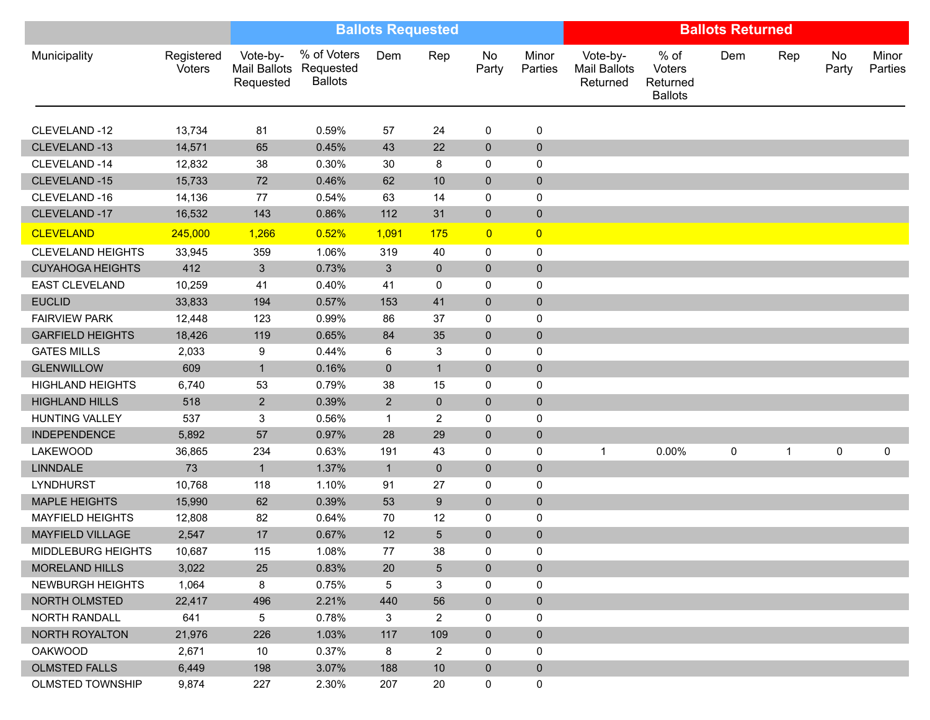|                          |                      | <b>Ballots Requested</b> |                                                         |                |                | <b>Ballots Returned</b> |                  |                                             |                                              |     |             |             |                  |
|--------------------------|----------------------|--------------------------|---------------------------------------------------------|----------------|----------------|-------------------------|------------------|---------------------------------------------|----------------------------------------------|-----|-------------|-------------|------------------|
| Municipality             | Registered<br>Voters | Vote-by-<br>Requested    | % of Voters<br>Mail Ballots Requested<br><b>Ballots</b> | Dem            | Rep            | No<br>Party             | Minor<br>Parties | Vote-by-<br><b>Mail Ballots</b><br>Returned | % of<br>Voters<br>Returned<br><b>Ballots</b> | Dem | Rep         | No<br>Party | Minor<br>Parties |
| CLEVELAND-12             | 13,734               | 81                       | 0.59%                                                   | 57             | 24             | 0                       | 0                |                                             |                                              |     |             |             |                  |
| CLEVELAND-13             | 14,571               | 65                       | 0.45%                                                   | 43             | 22             | $\mathbf 0$             | $\pmb{0}$        |                                             |                                              |     |             |             |                  |
| CLEVELAND-14             | 12,832               | 38                       | 0.30%                                                   | 30             | 8              | $\mathbf 0$             | 0                |                                             |                                              |     |             |             |                  |
| CLEVELAND-15             | 15,733               | 72                       | 0.46%                                                   | 62             | 10             | $\mathbf 0$             | $\pmb{0}$        |                                             |                                              |     |             |             |                  |
| CLEVELAND-16             | 14,136               | 77                       | 0.54%                                                   | 63             | 14             | $\mathbf 0$             | 0                |                                             |                                              |     |             |             |                  |
| CLEVELAND-17             | 16,532               | 143                      | 0.86%                                                   | 112            | 31             | $\mathbf 0$             | $\pmb{0}$        |                                             |                                              |     |             |             |                  |
| <b>CLEVELAND</b>         | 245,000              | 1,266                    | 0.52%                                                   | 1,091          | <b>175</b>     | $\overline{0}$          | $\overline{0}$   |                                             |                                              |     |             |             |                  |
| <b>CLEVELAND HEIGHTS</b> | 33,945               | 359                      | 1.06%                                                   | 319            | 40             | $\mathbf 0$             | $\mathsf 0$      |                                             |                                              |     |             |             |                  |
| <b>CUYAHOGA HEIGHTS</b>  | 412                  | $\mathbf{3}$             | 0.73%                                                   | 3 <sup>5</sup> | $\mathbf 0$    | $\mathbf 0$             | $\pmb{0}$        |                                             |                                              |     |             |             |                  |
| <b>EAST CLEVELAND</b>    | 10,259               | 41                       | 0.40%                                                   | 41             | 0              | $\mathbf 0$             | 0                |                                             |                                              |     |             |             |                  |
| <b>EUCLID</b>            | 33,833               | 194                      | 0.57%                                                   | 153            | 41             | $\pmb{0}$               | $\pmb{0}$        |                                             |                                              |     |             |             |                  |
| <b>FAIRVIEW PARK</b>     | 12,448               | 123                      | 0.99%                                                   | 86             | 37             | 0                       | 0                |                                             |                                              |     |             |             |                  |
| <b>GARFIELD HEIGHTS</b>  | 18,426               | 119                      | 0.65%                                                   | 84             | 35             | $\pmb{0}$               | $\pmb{0}$        |                                             |                                              |     |             |             |                  |
| <b>GATES MILLS</b>       | 2,033                | 9                        | 0.44%                                                   | 6              | 3              | $\mathbf 0$             | 0                |                                             |                                              |     |             |             |                  |
| <b>GLENWILLOW</b>        | 609                  | $\mathbf{1}$             | 0.16%                                                   | $\mathbf 0$    | $\mathbf{1}$   | $\mathbf 0$             | $\mathbf 0$      |                                             |                                              |     |             |             |                  |
| <b>HIGHLAND HEIGHTS</b>  | 6,740                | 53                       | 0.79%                                                   | 38             | 15             | 0                       | $\mathbf 0$      |                                             |                                              |     |             |             |                  |
| <b>HIGHLAND HILLS</b>    | 518                  | $\overline{a}$           | 0.39%                                                   | $2^{\circ}$    | $\mathbf 0$    | $\mathbf 0$             | $\mathbf 0$      |                                             |                                              |     |             |             |                  |
| <b>HUNTING VALLEY</b>    | 537                  | 3                        | 0.56%                                                   | $\mathbf{1}$   | 2              | 0                       | 0                |                                             |                                              |     |             |             |                  |
| <b>INDEPENDENCE</b>      | 5,892                | 57                       | 0.97%                                                   | 28             | 29             | $\mathbf 0$             | $\pmb{0}$        |                                             |                                              |     |             |             |                  |
| <b>LAKEWOOD</b>          | 36,865               | 234                      | 0.63%                                                   | 191            | 43             | $\mathbf 0$             | 0                |                                             | 0.00%                                        | 0   | $\mathbf 1$ | 0           | 0                |
| <b>LINNDALE</b>          | 73                   | $\mathbf{1}$             | 1.37%                                                   | $\mathbf{1}$   | $\overline{0}$ | $\mathbf{0}$            | $\mathbf 0$      |                                             |                                              |     |             |             |                  |
| <b>LYNDHURST</b>         | 10,768               | 118                      | 1.10%                                                   | 91             | 27             | 0                       | $\pmb{0}$        |                                             |                                              |     |             |             |                  |
| <b>MAPLE HEIGHTS</b>     | 15,990               | 62                       | 0.39%                                                   | 53             | 9              | $\mathbf 0$             | $\pmb{0}$        |                                             |                                              |     |             |             |                  |
| <b>MAYFIELD HEIGHTS</b>  | 12,808               | 82                       | 0.64%                                                   | 70             | 12             | 0                       | 0                |                                             |                                              |     |             |             |                  |
| MAYFIELD VILLAGE         | 2,547                | 17                       | 0.67%                                                   | 12             | 5              | $\mathbf 0$             | $\pmb{0}$        |                                             |                                              |     |             |             |                  |
| MIDDLEBURG HEIGHTS       | 10,687               | 115                      | 1.08%                                                   | 77             | 38             | 0                       | 0                |                                             |                                              |     |             |             |                  |
| <b>MORELAND HILLS</b>    | 3,022                | 25                       | 0.83%                                                   | 20             | 5 <sup>5</sup> | $\mathbf 0$             | $\overline{0}$   |                                             |                                              |     |             |             |                  |
| <b>NEWBURGH HEIGHTS</b>  | 1,064                | 8                        | 0.75%                                                   | 5              | 3              | 0                       | 0                |                                             |                                              |     |             |             |                  |
| <b>NORTH OLMSTED</b>     | 22,417               | 496                      | 2.21%                                                   | 440            | 56             | $\mathbf{0}$            | $\mathbf 0$      |                                             |                                              |     |             |             |                  |
| NORTH RANDALL            | 641                  | 5                        | 0.78%                                                   | $\mathbf{3}$   | $\overline{2}$ | 0                       | $\mathbf 0$      |                                             |                                              |     |             |             |                  |
| NORTH ROYALTON           | 21,976               | 226                      | 1.03%                                                   | 117            | 109            | $\mathbf{0}$            | $\mathbf 0$      |                                             |                                              |     |             |             |                  |
| <b>OAKWOOD</b>           | 2,671                | 10 <sup>°</sup>          | 0.37%                                                   | 8              | $\overline{2}$ | 0                       | 0                |                                             |                                              |     |             |             |                  |
| <b>OLMSTED FALLS</b>     | 6,449                | 198                      | 3.07%                                                   | 188            | 10             | $\mathbf 0$             | $\pmb{0}$        |                                             |                                              |     |             |             |                  |
| <b>OLMSTED TOWNSHIP</b>  | 9,874                | 227                      | 2.30%                                                   | 207            | 20             | $\mathbf 0$             | $\pmb{0}$        |                                             |                                              |     |             |             |                  |